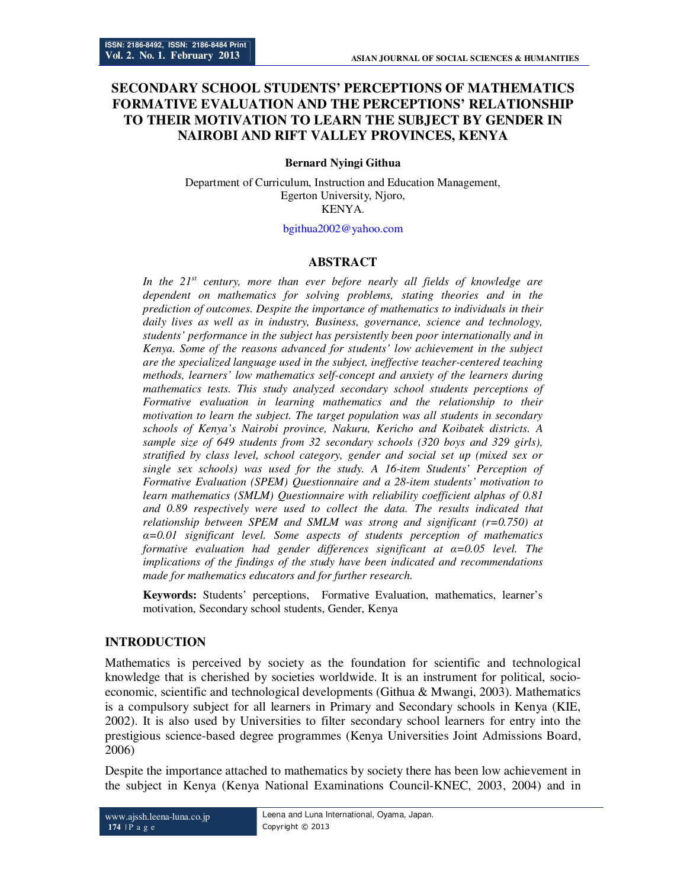# **SECONDARY SCHOOL STUDENTS' PERCEPTIONS OF MATHEMATICS FORMATIVE EVALUATION AND THE PERCEPTIONS' RELATIONSHIP TO THEIR MOTIVATION TO LEARN THE SUBJECT BY GENDER IN NAIROBI AND RIFT VALLEY PROVINCES, KENYA**

#### **Bernard Nyingi Githua**

Department of Curriculum, Instruction and Education Management, Egerton University, Njoro, KENYA.

#### bgithua2002@yahoo.com

### **ABSTRACT**

*In the 21st century, more than ever before nearly all fields of knowledge are dependent on mathematics for solving problems, stating theories and in the prediction of outcomes. Despite the importance of mathematics to individuals in their daily lives as well as in industry, Business, governance, science and technology, students' performance in the subject has persistently been poor internationally and in Kenya. Some of the reasons advanced for students' low achievement in the subject are the specialized language used in the subject, ineffective teacher-centered teaching methods, learners' low mathematics self-concept and anxiety of the learners during mathematics tests. This study analyzed secondary school students perceptions of Formative evaluation in learning mathematics and the relationship to their motivation to learn the subject. The target population was all students in secondary schools of Kenya's Nairobi province, Nakuru, Kericho and Koibatek districts. A sample size of 649 students from 32 secondary schools (320 boys and 329 girls), stratified by class level, school category, gender and social set up (mixed sex or single sex schools) was used for the study. A 16-item Students' Perception of Formative Evaluation (SPEM) Questionnaire and a 28-item students' motivation to learn mathematics (SMLM) Questionnaire with reliability coefficient alphas of 0.81 and 0.89 respectively were used to collect the data. The results indicated that relationship between SPEM and SMLM was strong and significant (r=0.750) at α=0.01 significant level. Some aspects of students perception of mathematics formative evaluation had gender differences significant at α=0.05 level. The implications of the findings of the study have been indicated and recommendations made for mathematics educators and for further research.* 

**Keywords:** Students' perceptions, Formative Evaluation, mathematics, learner's motivation, Secondary school students, Gender, Kenya

### **INTRODUCTION**

Mathematics is perceived by society as the foundation for scientific and technological knowledge that is cherished by societies worldwide. It is an instrument for political, socioeconomic, scientific and technological developments (Githua & Mwangi, 2003). Mathematics is a compulsory subject for all learners in Primary and Secondary schools in Kenya (KIE, 2002). It is also used by Universities to filter secondary school learners for entry into the prestigious science-based degree programmes (Kenya Universities Joint Admissions Board, 2006)

Despite the importance attached to mathematics by society there has been low achievement in the subject in Kenya (Kenya National Examinations Council-KNEC, 2003, 2004) and in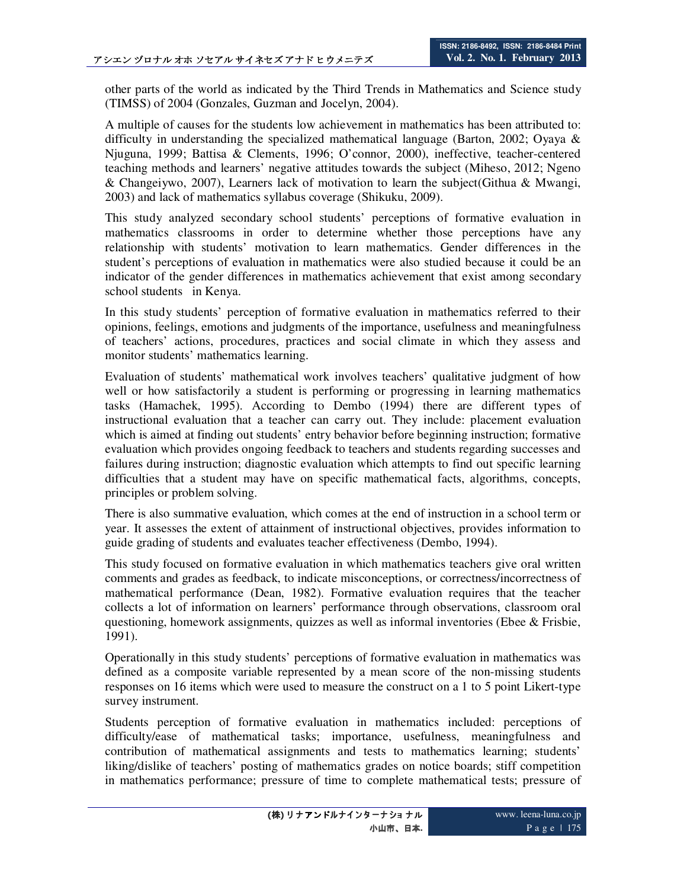other parts of the world as indicated by the Third Trends in Mathematics and Science study (TIMSS) of 2004 (Gonzales, Guzman and Jocelyn, 2004).

A multiple of causes for the students low achievement in mathematics has been attributed to: difficulty in understanding the specialized mathematical language (Barton, 2002; Oyaya  $\&$ Njuguna, 1999; Battisa & Clements, 1996; O'connor, 2000), ineffective, teacher-centered teaching methods and learners' negative attitudes towards the subject (Miheso, 2012; Ngeno & Changeiywo, 2007), Learners lack of motivation to learn the subject(Githua & Mwangi, 2003) and lack of mathematics syllabus coverage (Shikuku, 2009).

This study analyzed secondary school students' perceptions of formative evaluation in mathematics classrooms in order to determine whether those perceptions have any relationship with students' motivation to learn mathematics. Gender differences in the student's perceptions of evaluation in mathematics were also studied because it could be an indicator of the gender differences in mathematics achievement that exist among secondary school students in Kenya.

In this study students' perception of formative evaluation in mathematics referred to their opinions, feelings, emotions and judgments of the importance, usefulness and meaningfulness of teachers' actions, procedures, practices and social climate in which they assess and monitor students' mathematics learning.

Evaluation of students' mathematical work involves teachers' qualitative judgment of how well or how satisfactorily a student is performing or progressing in learning mathematics tasks (Hamachek, 1995). According to Dembo (1994) there are different types of instructional evaluation that a teacher can carry out. They include: placement evaluation which is aimed at finding out students' entry behavior before beginning instruction; formative evaluation which provides ongoing feedback to teachers and students regarding successes and failures during instruction; diagnostic evaluation which attempts to find out specific learning difficulties that a student may have on specific mathematical facts, algorithms, concepts, principles or problem solving.

There is also summative evaluation, which comes at the end of instruction in a school term or year. It assesses the extent of attainment of instructional objectives, provides information to guide grading of students and evaluates teacher effectiveness (Dembo, 1994).

This study focused on formative evaluation in which mathematics teachers give oral written comments and grades as feedback, to indicate misconceptions, or correctness/incorrectness of mathematical performance (Dean, 1982). Formative evaluation requires that the teacher collects a lot of information on learners' performance through observations, classroom oral questioning, homework assignments, quizzes as well as informal inventories (Ebee  $\&$  Frisbie, 1991).

Operationally in this study students' perceptions of formative evaluation in mathematics was defined as a composite variable represented by a mean score of the non-missing students responses on 16 items which were used to measure the construct on a 1 to 5 point Likert-type survey instrument.

Students perception of formative evaluation in mathematics included: perceptions of difficulty/ease of mathematical tasks; importance, usefulness, meaningfulness and contribution of mathematical assignments and tests to mathematics learning; students' liking/dislike of teachers' posting of mathematics grades on notice boards; stiff competition in mathematics performance; pressure of time to complete mathematical tests; pressure of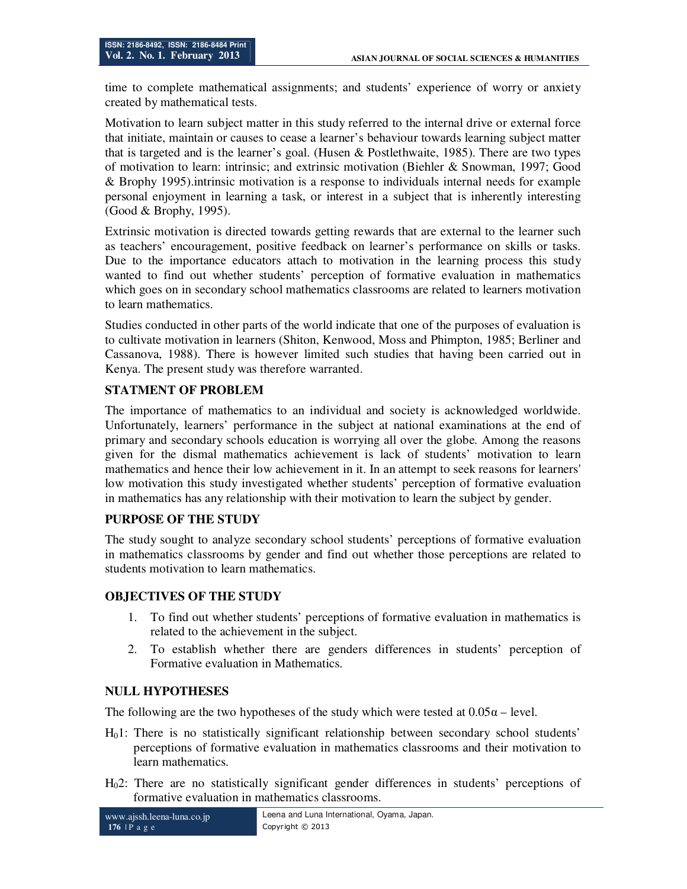time to complete mathematical assignments; and students' experience of worry or anxiety created by mathematical tests.

Motivation to learn subject matter in this study referred to the internal drive or external force that initiate, maintain or causes to cease a learner's behaviour towards learning subject matter that is targeted and is the learner's goal. (Husen & Postlethwaite, 1985). There are two types of motivation to learn: intrinsic; and extrinsic motivation (Biehler & Snowman, 1997; Good & Brophy 1995).intrinsic motivation is a response to individuals internal needs for example personal enjoyment in learning a task, or interest in a subject that is inherently interesting (Good & Brophy, 1995).

Extrinsic motivation is directed towards getting rewards that are external to the learner such as teachers' encouragement, positive feedback on learner's performance on skills or tasks. Due to the importance educators attach to motivation in the learning process this study wanted to find out whether students' perception of formative evaluation in mathematics which goes on in secondary school mathematics classrooms are related to learners motivation to learn mathematics.

Studies conducted in other parts of the world indicate that one of the purposes of evaluation is to cultivate motivation in learners (Shiton, Kenwood, Moss and Phimpton, 1985; Berliner and Cassanova, 1988). There is however limited such studies that having been carried out in Kenya. The present study was therefore warranted.

# **STATMENT OF PROBLEM**

The importance of mathematics to an individual and society is acknowledged worldwide. Unfortunately, learners' performance in the subject at national examinations at the end of primary and secondary schools education is worrying all over the globe. Among the reasons given for the dismal mathematics achievement is lack of students' motivation to learn mathematics and hence their low achievement in it. In an attempt to seek reasons for learners' low motivation this study investigated whether students' perception of formative evaluation in mathematics has any relationship with their motivation to learn the subject by gender.

# **PURPOSE OF THE STUDY**

The study sought to analyze secondary school students' perceptions of formative evaluation in mathematics classrooms by gender and find out whether those perceptions are related to students motivation to learn mathematics.

# **OBJECTIVES OF THE STUDY**

- 1. To find out whether students' perceptions of formative evaluation in mathematics is related to the achievement in the subject.
- 2. To establish whether there are genders differences in students' perception of Formative evaluation in Mathematics.

# **NULL HYPOTHESES**

The following are the two hypotheses of the study which were tested at  $0.05\alpha$  – level.

- H01: There is no statistically significant relationship between secondary school students' perceptions of formative evaluation in mathematics classrooms and their motivation to learn mathematics.
- H02: There are no statistically significant gender differences in students' perceptions of formative evaluation in mathematics classrooms.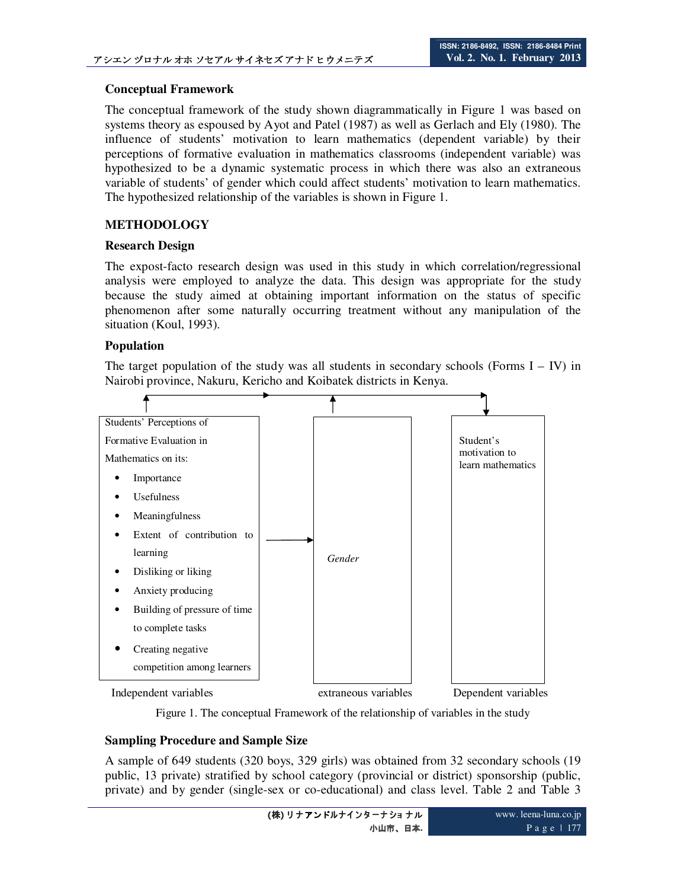## **Conceptual Framework**

The conceptual framework of the study shown diagrammatically in Figure 1 was based on systems theory as espoused by Ayot and Patel (1987) as well as Gerlach and Ely (1980). The influence of students' motivation to learn mathematics (dependent variable) by their perceptions of formative evaluation in mathematics classrooms (independent variable) was hypothesized to be a dynamic systematic process in which there was also an extraneous variable of students' of gender which could affect students' motivation to learn mathematics. The hypothesized relationship of the variables is shown in Figure 1.

# **METHODOLOGY**

### **Research Design**

The expost-facto research design was used in this study in which correlation/regressional analysis were employed to analyze the data. This design was appropriate for the study because the study aimed at obtaining important information on the status of specific phenomenon after some naturally occurring treatment without any manipulation of the situation (Koul, 1993).

## **Population**

The target population of the study was all students in secondary schools (Forms  $I - IV$ ) in Nairobi province, Nakuru, Kericho and Koibatek districts in Kenya.



Figure 1. The conceptual Framework of the relationship of variables in the study

# **Sampling Procedure and Sample Size**

A sample of 649 students (320 boys, 329 girls) was obtained from 32 secondary schools (19 public, 13 private) stratified by school category (provincial or district) sponsorship (public, private) and by gender (single-sex or co-educational) and class level. Table 2 and Table 3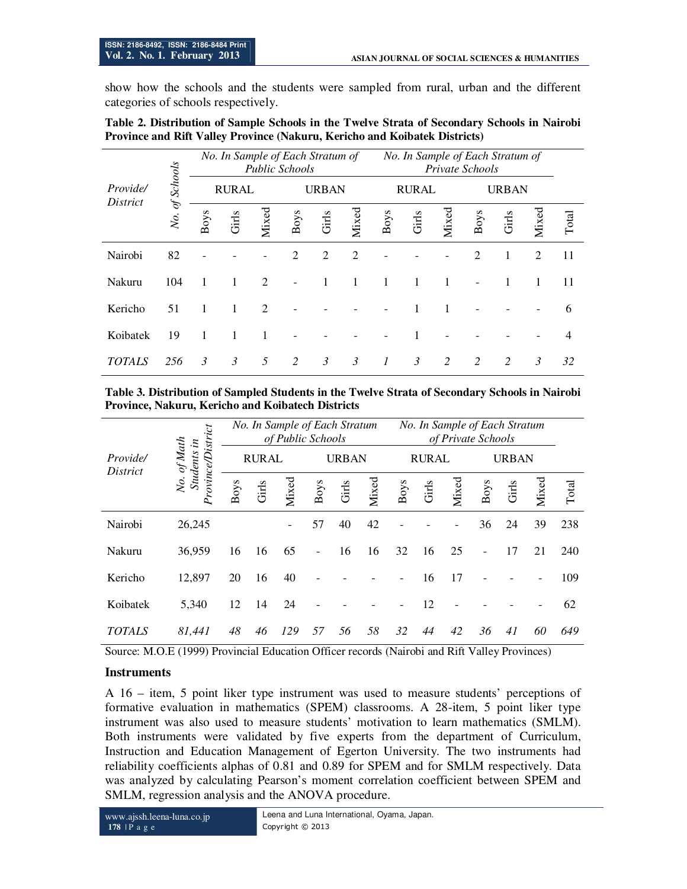show how the schools and the students were sampled from rural, urban and the different categories of schools respectively.

| Table 2. Distribution of Sample Schools in the Twelve Strata of Secondary Schools in Nairobi |  |
|----------------------------------------------------------------------------------------------|--|
| <b>Province and Rift Valley Province (Nakuru, Kericho and Koibatek Districts)</b>            |  |

|                      |            |                |               | No. In Sample of Each Stratum of<br><b>Public Schools</b> |      |                | No. In Sample of Each Stratum of<br>Private Schools |                |                |       |                |              |                |                |
|----------------------|------------|----------------|---------------|-----------------------------------------------------------|------|----------------|-----------------------------------------------------|----------------|----------------|-------|----------------|--------------|----------------|----------------|
| Provide/<br>District | of Schools |                | <b>RURAL</b>  |                                                           |      | <b>URBAN</b>   |                                                     |                | <b>RURAL</b>   |       |                | <b>URBAN</b> |                |                |
|                      | No.        | Boys           | Girls         | Mixed                                                     | Boys | Girls          | Mixed                                               | Boys           | Girls          | Mixed | Boys           | Girls        | Mixed          | Total          |
| Nairobi              | 82         |                |               |                                                           | 2    | $\mathfrak{D}$ | $\overline{2}$                                      |                |                |       | $\overline{c}$ |              | 2              | 11             |
| Nakuru               | 104        | 1              | 1             | $\overline{2}$                                            |      | $\mathbf{1}$   | 1                                                   | 1              |                | 1     |                |              | 1              | 11             |
| Kericho              | 51         | 1              | 1             | $\overline{2}$                                            |      |                |                                                     |                |                |       |                |              |                | 6              |
| Koibatek             | 19         | 1              | 1             |                                                           |      |                |                                                     |                |                |       |                |              |                | $\overline{4}$ |
| <b>TOTALS</b>        | 256        | $\mathfrak{Z}$ | $\mathcal{E}$ | 5                                                         | 2    | $\mathcal{E}$  | 3                                                   | $\overline{1}$ | $\mathfrak{Z}$ | 2     | 2              | 2            | $\mathfrak{Z}$ | 32             |

**Table 3. Distribution of Sampled Students in the Twelve Strata of Secondary Schools in Nairobi Province, Nakuru, Kericho and Koibatech Districts** 

|                             |                                       |      |              | No. In Sample of Each Stratum<br>of Public Schools |                          |              |       | No. In Sample of Each Stratum<br>of Private Schools |              |       |                |              |       |     |
|-----------------------------|---------------------------------------|------|--------------|----------------------------------------------------|--------------------------|--------------|-------|-----------------------------------------------------|--------------|-------|----------------|--------------|-------|-----|
| Provide/<br><i>District</i> | of Math<br>No. of Math<br>Students in |      | <b>RURAL</b> |                                                    |                          | <b>URBAN</b> |       |                                                     | <b>RURAL</b> |       |                | <b>URBAN</b> |       |     |
|                             | rovince/District                      | Boys | Girls        | Mixed                                              | Boys                     | Girls        | Mixed | Boys                                                | Girls        | Mixed | Boys<br>Girls  | Mixed        | Total |     |
| Nairobi                     | 26,245                                |      |              |                                                    | 57                       | 40           | 42    |                                                     |              |       | 36             | 24           | 39    | 238 |
| Nakuru                      | 36,959                                | 16   | 16           | 65                                                 | $\overline{\phantom{a}}$ | 16           | 16    | 32                                                  | 16           | 25    | $\overline{a}$ | 17           | 21    | 240 |
| Kericho                     | 12,897                                | 20   | 16           | 40                                                 |                          |              |       |                                                     | 16           | 17    |                |              |       | 109 |
| Koibatek                    | 5,340                                 | 12   | 14           | 24                                                 |                          |              |       |                                                     | 12           |       |                |              |       | 62  |
| <b>TOTALS</b>               | 81,441                                | 48   | 46           | 129                                                | 57                       | 56           | 58    | 32                                                  | 44           | 42    | 36             | 41           | 60    | 649 |

Source: M.O.E (1999) Provincial Education Officer records (Nairobi and Rift Valley Provinces)

### **Instruments**

A 16 – item, 5 point liker type instrument was used to measure students' perceptions of formative evaluation in mathematics (SPEM) classrooms. A 28-item, 5 point liker type instrument was also used to measure students' motivation to learn mathematics (SMLM). Both instruments were validated by five experts from the department of Curriculum, Instruction and Education Management of Egerton University. The two instruments had reliability coefficients alphas of 0.81 and 0.89 for SPEM and for SMLM respectively. Data was analyzed by calculating Pearson's moment correlation coefficient between SPEM and SMLM, regression analysis and the ANOVA procedure.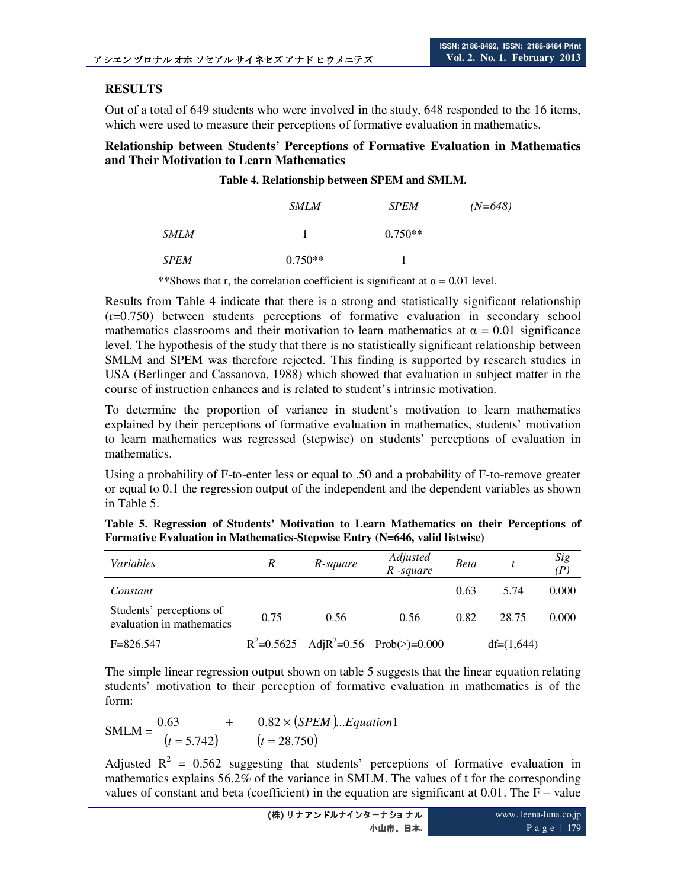# **RESULTS**

Out of a total of 649 students who were involved in the study, 648 responded to the 16 items, which were used to measure their perceptions of formative evaluation in mathematics.

**Relationship between Students' Perceptions of Formative Evaluation in Mathematics and Their Motivation to Learn Mathematics** 

| Table 4. Relationship between SPEM and SMLM. |             |             |           |  |  |  |  |
|----------------------------------------------|-------------|-------------|-----------|--|--|--|--|
|                                              | <i>SMLM</i> | <b>SPEM</b> | $(N=648)$ |  |  |  |  |
| <b>SMLM</b>                                  |             | $0.750**$   |           |  |  |  |  |
| <b>SPEM</b>                                  | $0.750**$   |             |           |  |  |  |  |

**Table 4. Relationship between SPEM and SMLM.** 

\*\*Shows that r, the correlation coefficient is significant at  $\alpha = 0.01$  level.

Results from Table 4 indicate that there is a strong and statistically significant relationship (r=0.750) between students perceptions of formative evaluation in secondary school mathematics classrooms and their motivation to learn mathematics at  $\alpha = 0.01$  significance level. The hypothesis of the study that there is no statistically significant relationship between SMLM and SPEM was therefore rejected. This finding is supported by research studies in USA (Berlinger and Cassanova, 1988) which showed that evaluation in subject matter in the course of instruction enhances and is related to student's intrinsic motivation.

To determine the proportion of variance in student's motivation to learn mathematics explained by their perceptions of formative evaluation in mathematics, students' motivation to learn mathematics was regressed (stepwise) on students' perceptions of evaluation in mathematics.

Using a probability of F-to-enter less or equal to .50 and a probability of F-to-remove greater or equal to 0.1 the regression output of the independent and the dependent variables as shown in Table 5.

|  |  |                                                                            |  |  |  | Table 5. Regression of Students' Motivation to Learn Mathematics on their Perceptions of |  |
|--|--|----------------------------------------------------------------------------|--|--|--|------------------------------------------------------------------------------------------|--|
|  |  | Formative Evaluation in Mathematics-Stepwise Entry (N=646, valid listwise) |  |  |  |                                                                                          |  |

| Variables                                             | R    | R-square | Adjusted<br>$R$ -square                     | <b>Beta</b> |              | Sig<br>(P) |
|-------------------------------------------------------|------|----------|---------------------------------------------|-------------|--------------|------------|
| Constant                                              |      |          |                                             | 0.63        | 5.74         | 0.000      |
| Students' perceptions of<br>evaluation in mathematics | 0.75 | 0.56     | 0.56                                        | 0.82        | 28.75        | 0.000      |
| $F = 826.547$                                         |      |          | $R^2$ =0.5625 Adj $R^2$ =0.56 Prob(>)=0.000 |             | $df=(1,644)$ |            |

The simple linear regression output shown on table 5 suggests that the linear equation relating students' motivation to their perception of formative evaluation in mathematics is of the form:

| $SMLM =$ | 0.63          | $0.82 \times (SPEM) \dots$ <i>Equation</i> 1 |
|----------|---------------|----------------------------------------------|
|          | $(t = 5.742)$ | $(t = 28.750)$                               |

Adjusted  $R^2 = 0.562$  suggesting that students' perceptions of formative evaluation in mathematics explains 56.2% of the variance in SMLM. The values of t for the corresponding values of constant and beta (coefficient) in the equation are significant at  $0.01$ . The F – value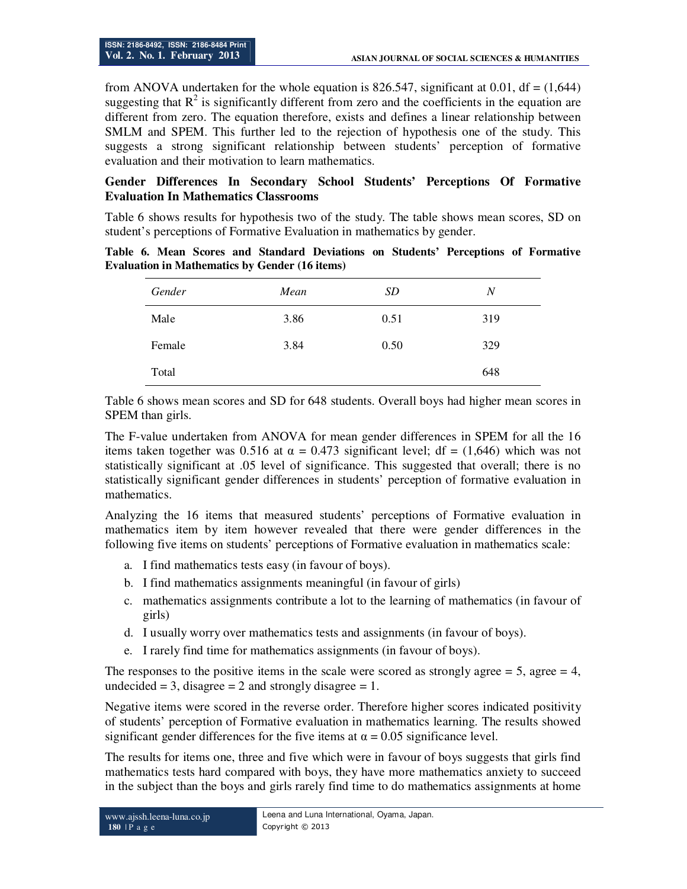from ANOVA undertaken for the whole equation is 826.547, significant at 0.01, df =  $(1,644)$ suggesting that  $R^2$  is significantly different from zero and the coefficients in the equation are different from zero. The equation therefore, exists and defines a linear relationship between SMLM and SPEM. This further led to the rejection of hypothesis one of the study. This suggests a strong significant relationship between students' perception of formative evaluation and their motivation to learn mathematics.

## **Gender Differences In Secondary School Students' Perceptions Of Formative Evaluation In Mathematics Classrooms**

Table 6 shows results for hypothesis two of the study. The table shows mean scores, SD on student's perceptions of Formative Evaluation in mathematics by gender.

**Table 6. Mean Scores and Standard Deviations on Students' Perceptions of Formative Evaluation in Mathematics by Gender (16 items)** 

| Gender | Mean | SD   | $\overline{N}$ |
|--------|------|------|----------------|
| Male   | 3.86 | 0.51 | 319            |
| Female | 3.84 | 0.50 | 329            |
| Total  |      |      | 648            |

Table 6 shows mean scores and SD for 648 students. Overall boys had higher mean scores in SPEM than girls.

The F-value undertaken from ANOVA for mean gender differences in SPEM for all the 16 items taken together was 0.516 at  $\alpha = 0.473$  significant level; df = (1,646) which was not statistically significant at .05 level of significance. This suggested that overall; there is no statistically significant gender differences in students' perception of formative evaluation in mathematics.

Analyzing the 16 items that measured students' perceptions of Formative evaluation in mathematics item by item however revealed that there were gender differences in the following five items on students' perceptions of Formative evaluation in mathematics scale:

- a. I find mathematics tests easy (in favour of boys).
- b. I find mathematics assignments meaningful (in favour of girls)
- c. mathematics assignments contribute a lot to the learning of mathematics (in favour of girls)
- d. I usually worry over mathematics tests and assignments (in favour of boys).
- e. I rarely find time for mathematics assignments (in favour of boys).

The responses to the positive items in the scale were scored as strongly agree  $= 5$ , agree  $= 4$ , undecided  $= 3$ , disagree  $= 2$  and strongly disagree  $= 1$ .

Negative items were scored in the reverse order. Therefore higher scores indicated positivity of students' perception of Formative evaluation in mathematics learning. The results showed significant gender differences for the five items at  $\alpha = 0.05$  significance level.

The results for items one, three and five which were in favour of boys suggests that girls find mathematics tests hard compared with boys, they have more mathematics anxiety to succeed in the subject than the boys and girls rarely find time to do mathematics assignments at home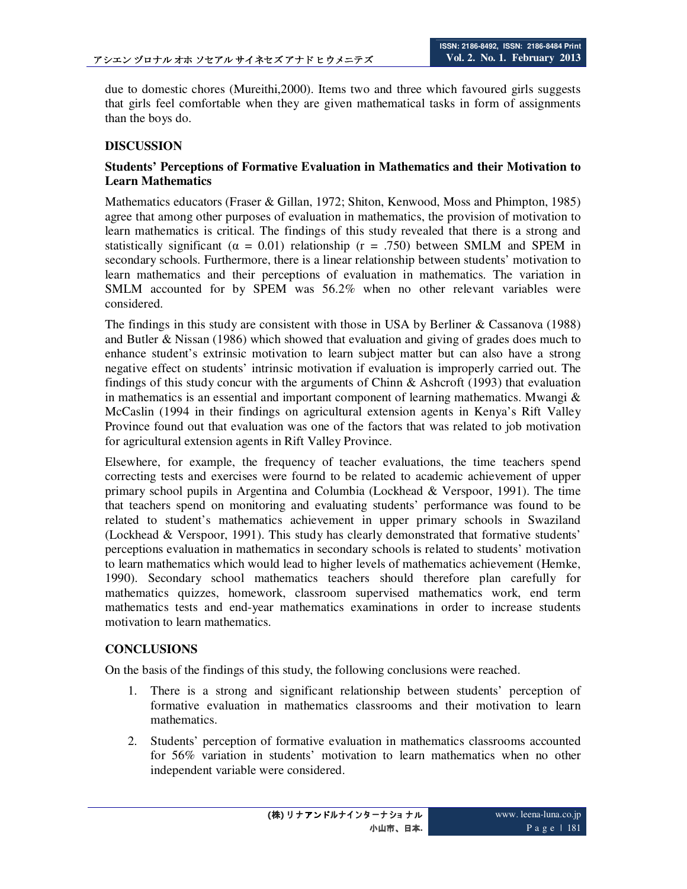due to domestic chores (Mureithi,2000). Items two and three which favoured girls suggests that girls feel comfortable when they are given mathematical tasks in form of assignments than the boys do.

# **DISCUSSION**

## **Students' Perceptions of Formative Evaluation in Mathematics and their Motivation to Learn Mathematics**

Mathematics educators (Fraser & Gillan, 1972; Shiton, Kenwood, Moss and Phimpton, 1985) agree that among other purposes of evaluation in mathematics, the provision of motivation to learn mathematics is critical. The findings of this study revealed that there is a strong and statistically significant ( $\alpha = 0.01$ ) relationship (r = .750) between SMLM and SPEM in secondary schools. Furthermore, there is a linear relationship between students' motivation to learn mathematics and their perceptions of evaluation in mathematics. The variation in SMLM accounted for by SPEM was 56.2% when no other relevant variables were considered.

The findings in this study are consistent with those in USA by Berliner & Cassanova (1988) and Butler & Nissan (1986) which showed that evaluation and giving of grades does much to enhance student's extrinsic motivation to learn subject matter but can also have a strong negative effect on students' intrinsic motivation if evaluation is improperly carried out. The findings of this study concur with the arguments of Chinn & Ashcroft (1993) that evaluation in mathematics is an essential and important component of learning mathematics. Mwangi  $\&$ McCaslin (1994 in their findings on agricultural extension agents in Kenya's Rift Valley Province found out that evaluation was one of the factors that was related to job motivation for agricultural extension agents in Rift Valley Province.

Elsewhere, for example, the frequency of teacher evaluations, the time teachers spend correcting tests and exercises were fournd to be related to academic achievement of upper primary school pupils in Argentina and Columbia (Lockhead & Verspoor, 1991). The time that teachers spend on monitoring and evaluating students' performance was found to be related to student's mathematics achievement in upper primary schools in Swaziland (Lockhead & Verspoor, 1991). This study has clearly demonstrated that formative students' perceptions evaluation in mathematics in secondary schools is related to students' motivation to learn mathematics which would lead to higher levels of mathematics achievement (Hemke, 1990). Secondary school mathematics teachers should therefore plan carefully for mathematics quizzes, homework, classroom supervised mathematics work, end term mathematics tests and end-year mathematics examinations in order to increase students motivation to learn mathematics.

# **CONCLUSIONS**

On the basis of the findings of this study, the following conclusions were reached.

- 1. There is a strong and significant relationship between students' perception of formative evaluation in mathematics classrooms and their motivation to learn mathematics.
- 2. Students' perception of formative evaluation in mathematics classrooms accounted for 56% variation in students' motivation to learn mathematics when no other independent variable were considered.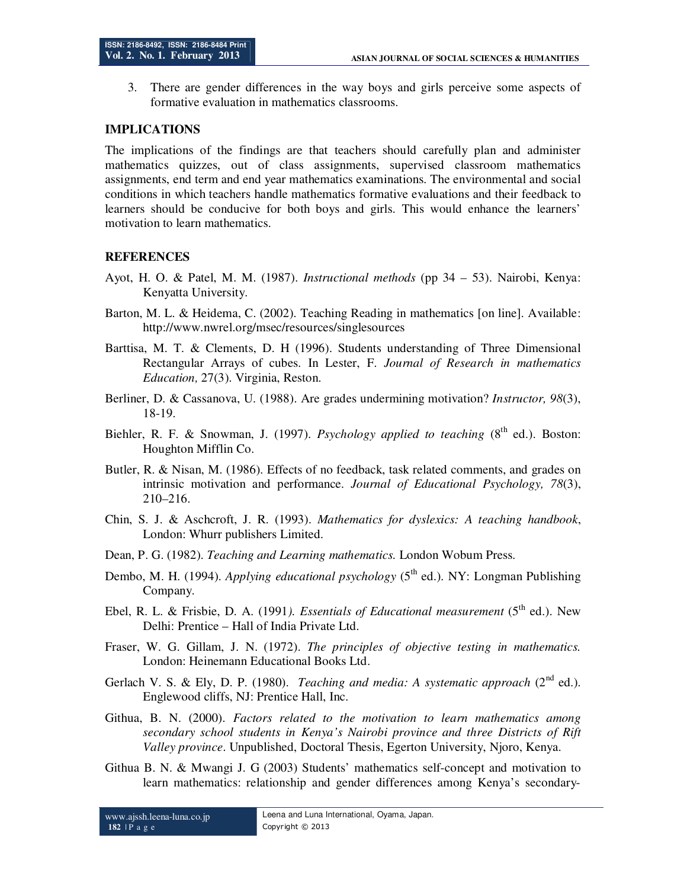3. There are gender differences in the way boys and girls perceive some aspects of formative evaluation in mathematics classrooms.

#### **IMPLICATIONS**

The implications of the findings are that teachers should carefully plan and administer mathematics quizzes, out of class assignments, supervised classroom mathematics assignments, end term and end year mathematics examinations. The environmental and social conditions in which teachers handle mathematics formative evaluations and their feedback to learners should be conducive for both boys and girls. This would enhance the learners' motivation to learn mathematics.

#### **REFERENCES**

- Ayot, H. O. & Patel, M. M. (1987). *Instructional methods* (pp 34 53). Nairobi, Kenya: Kenyatta University.
- Barton, M. L. & Heidema, C. (2002). Teaching Reading in mathematics [on line]. Available: http://www.nwrel.org/msec/resources/singlesources
- Barttisa, M. T. & Clements, D. H (1996). Students understanding of Three Dimensional Rectangular Arrays of cubes. In Lester, F. *Journal of Research in mathematics Education,* 27(3). Virginia, Reston.
- Berliner, D. & Cassanova, U. (1988). Are grades undermining motivation? *Instructor, 98*(3), 18-19.
- Biehler, R. F. & Snowman, J. (1997). *Psychology applied to teaching* (8<sup>th</sup> ed.). Boston: Houghton Mifflin Co.
- Butler, R. & Nisan, M. (1986). Effects of no feedback, task related comments, and grades on intrinsic motivation and performance. *Journal of Educational Psychology, 78*(3), 210–216.
- Chin, S. J. & Aschcroft, J. R. (1993). *Mathematics for dyslexics: A teaching handbook*, London: Whurr publishers Limited.
- Dean, P. G. (1982). *Teaching and Learning mathematics.* London Wobum Press.
- Dembo, M. H. (1994). *Applying educational psychology* (5<sup>th</sup> ed.). NY: Longman Publishing Company.
- Ebel, R. L. & Frisbie, D. A. (1991*). Essentials of Educational measurement* (5th ed.). New Delhi: Prentice – Hall of India Private Ltd.
- Fraser, W. G. Gillam, J. N. (1972). *The principles of objective testing in mathematics.* London: Heinemann Educational Books Ltd.
- Gerlach V. S. & Ely, D. P. (1980). *Teaching and media: A systematic approach* (2<sup>nd</sup> ed.). Englewood cliffs, NJ: Prentice Hall, Inc.
- Githua, B. N. (2000). *Factors related to the motivation to learn mathematics among secondary school students in Kenya's Nairobi province and three Districts of Rift Valley province*. Unpublished, Doctoral Thesis, Egerton University, Njoro, Kenya.
- Githua B. N. & Mwangi J. G (2003) Students' mathematics self-concept and motivation to learn mathematics: relationship and gender differences among Kenya's secondary-